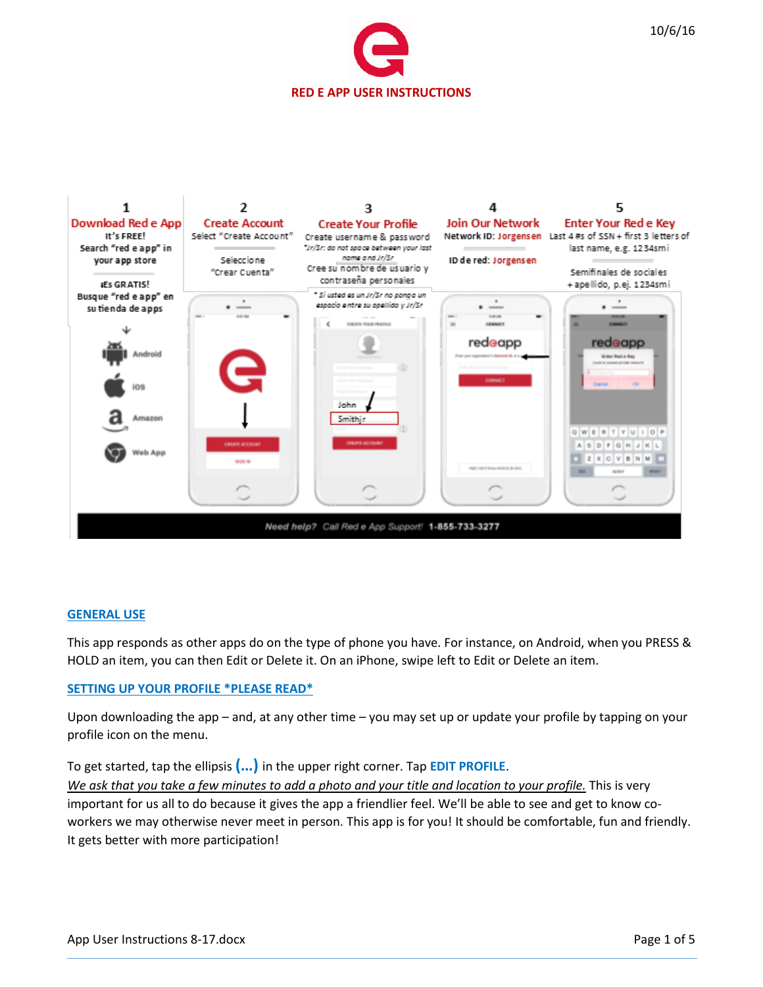



### **GENERAL USE**

This app responds as other apps do on the type of phone you have. For instance, on Android, when you PRESS & HOLD an item, you can then Edit or Delete it. On an iPhone, swipe left to Edit or Delete an item.

#### **SETTING UP YOUR PROFILE \*PLEASE READ\***

Upon downloading the app – and, at any other time – you may set up or update your profile by tapping on your profile icon on the menu.

#### To get started, tap the ellipsis **(…)** in the upper right corner. Tap **EDIT PROFILE**.

*We ask that you take a few minutes to add a photo and your title and location to your profile.* This is very important for us all to do because it gives the app a friendlier feel. We'll be able to see and get to know coworkers we may otherwise never meet in person. This app is for you! It should be comfortable, fun and friendly. It gets better with more participation!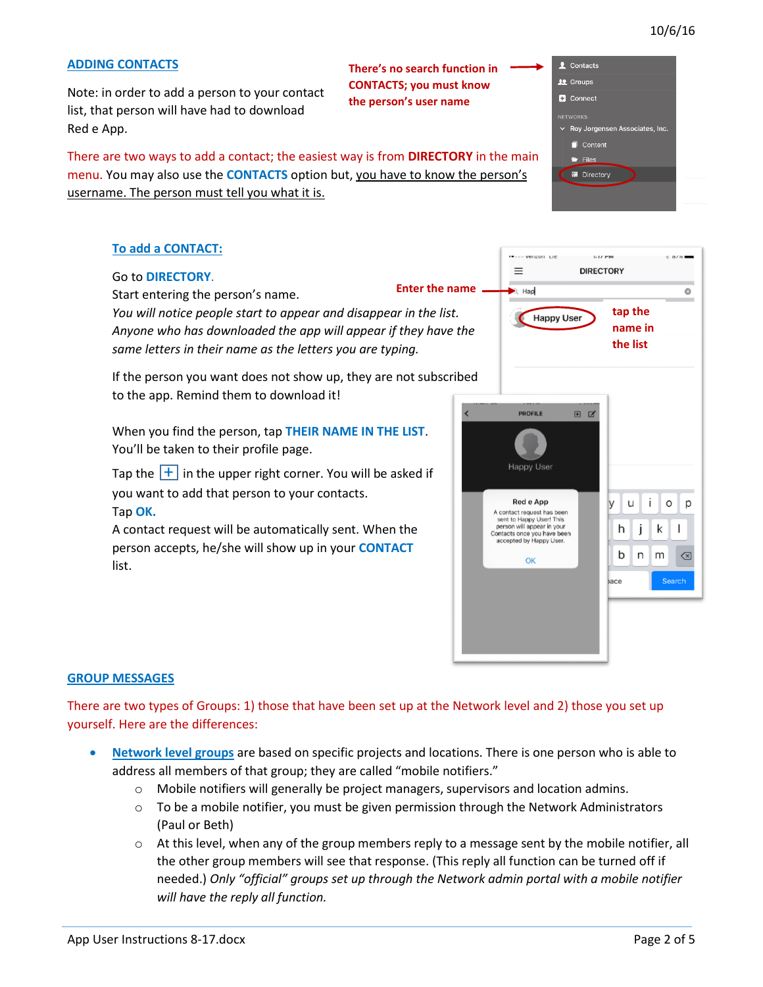# 10/6/16

### **ADDING CONTACTS**

Note: in order to add a person to your contact list, that person will have had to download Red e App.

**There's no search function in CONTACTS; you must know the person's user name**

There are two ways to add a contact; the easiest way is from **DIRECTORY** in the main menu. You may also use the **CONTACTS** option but, you have to know the person's username. The person must tell you what it is.

## **To add a CONTACT:**

Go to **DIRECTORY**.

Start entering the person's name.

*You will notice people start to appear and disappear in the list. Anyone who has downloaded the app will appear if they have the same letters in their name as the letters you are typing.*

If the person you want does not show up, they are not subscribed to the app. Remind them to download it!

When you find the person, tap **THEIR NAME IN THE LIST**. You'll be taken to their profile page.

Tap the  $\left| \frac{1}{\cdot} \right|$  in the upper right corner. You will be asked if you want to add that person to your contacts. Tap **OK.**

A contact request will be automatically sent. When the person accepts, he/she will show up in your **CONTACT** list.



 $\triangle$  Contacts  $\mathbf{P}$  Groups **C** Connect

> Content Files **Directory**

 $\times$  Roy Jorgensen Associates, Inc

### **GROUP MESSAGES**

There are two types of Groups: 1) those that have been set up at the Network level and 2) those you set up yourself. Here are the differences:

- **Network level groups** are based on specific projects and locations. There is one person who is able to address all members of that group; they are called "mobile notifiers."
	- $\circ$  Mobile notifiers will generally be project managers, supervisors and location admins.
	- $\circ$  To be a mobile notifier, you must be given permission through the Network Administrators (Paul or Beth)
	- $\circ$  At this level, when any of the group members reply to a message sent by the mobile notifier, all the other group members will see that response. (This reply all function can be turned off if needed.) *Only "official" groups set up through the Network admin portal with a mobile notifier will have the reply all function.*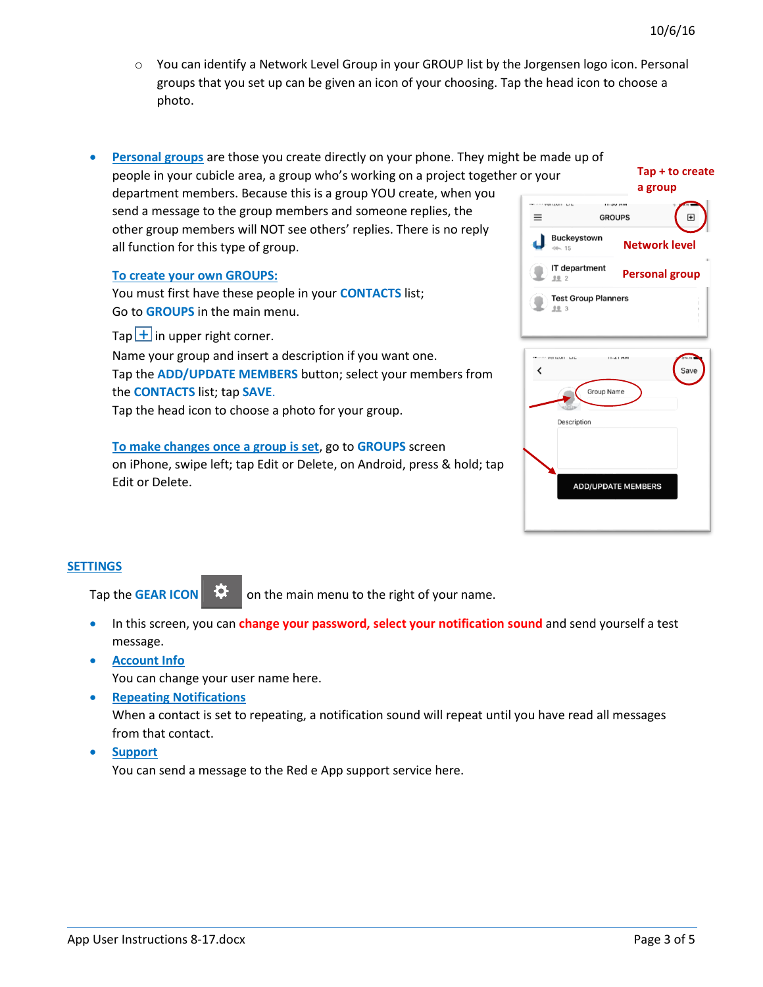- o You can identify a Network Level Group in your GROUP list by the Jorgensen logo icon. Personal groups that you set up can be given an icon of your choosing. Tap the head icon to choose a photo.
- **Personal groups** are those you create directly on your phone. They might be made up of people in your cubicle area, a group who's working on a project together department members. Because this is a group YOU create, when you send a message to the group members and someone replies, the other group members will NOT see others' replies. There is no reply all function for this type of group.

## **To create your own GROUPS:**

You must first have these people in your **CONTACTS** list; Go to **GROUPS** in the main menu.

Tap  $\pm$  in upper right corner.

Name your group and insert a description if you want one. Tap the **ADD/UPDATE MEMBERS** button; select your members from the **CONTACTS** list; tap **SAVE**.

Tap the head icon to choose a photo for your group.

**To make changes once a group is set**, go to **GROUPS** screen

on iPhone, swipe left; tap Edit or Delete, on Android, press & hold; tap Edit or Delete.

| or your                                            | Tap + to create                                   |  |
|----------------------------------------------------|---------------------------------------------------|--|
|                                                    | a group                                           |  |
| <b>VEH LOAFFE</b><br>≡                             | <b>HOV MM</b><br>$\overline{+}$<br><b>GROUPS</b>  |  |
| Buckeystown<br>$46 - 15$                           | <b>Network level</b>                              |  |
| IT department<br>想 2                               | ×.<br><b>Personal group</b>                       |  |
| <b>Test Group Planners</b><br>90.3                 |                                                   |  |
| <b>VEH LCUIT</b><br>く<br>Group Name<br>Description | $1.441$ $M1$<br>Save<br><b>ADD/UPDATE MEMBERS</b> |  |

## **SETTINGS**

Tap the **GEAR ICON 32** on the main menu to the right of your name.

- In this screen, you can **change your password, select your notification sound** and send yourself a test message.
- **Account Info**

You can change your user name here.

**•** Repeating Notifications

When a contact is set to repeating, a notification sound will repeat until you have read all messages from that contact.

**Support**

You can send a message to the Red e App support service here.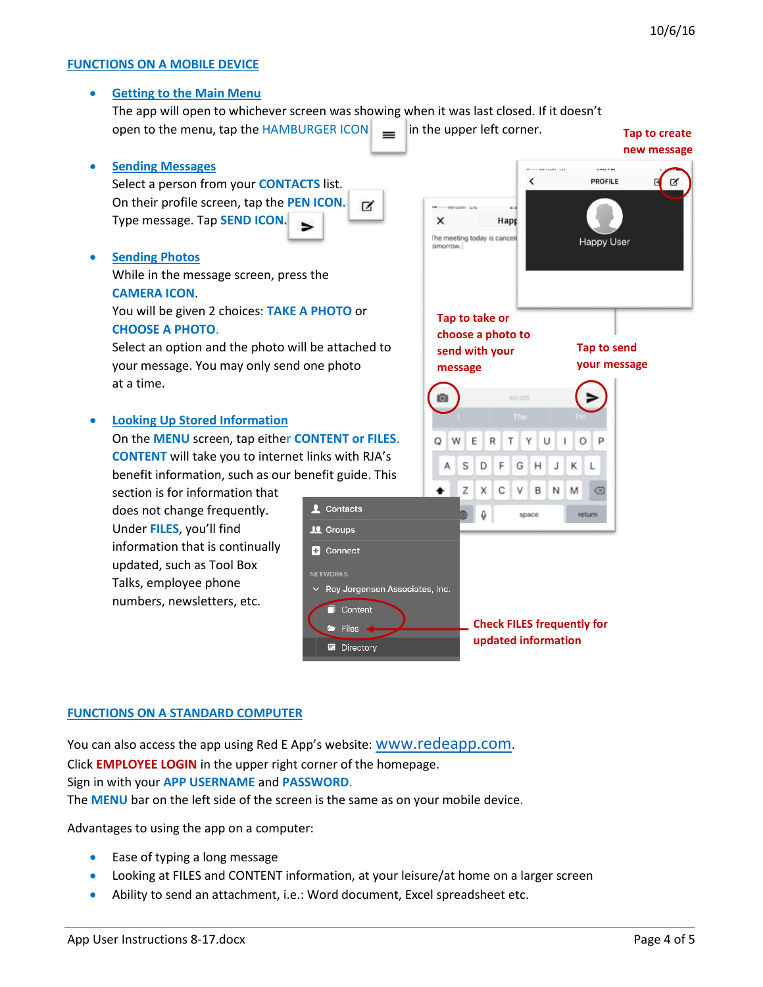## **FUNCTIONS ON A MOBILE DEVICE**



### **FUNCTIONS ON A STANDARD COMPUTER**

You can also access the app using Red E App's website: **WWW.redeapp.com.** Click **EMPLOYEE LOGIN** in the upper right corner of the homepage. Sign in with your **APP USERNAME** and **PASSWORD**. The **MENU** bar on the left side of the screen is the same as on your mobile device.

Advantages to using the app on a computer:

- Ease of typing a long message
- Looking at FILES and CONTENT information, at your leisure/at home on a larger screen
- Ability to send an attachment, i.e.: Word document, Excel spreadsheet etc.